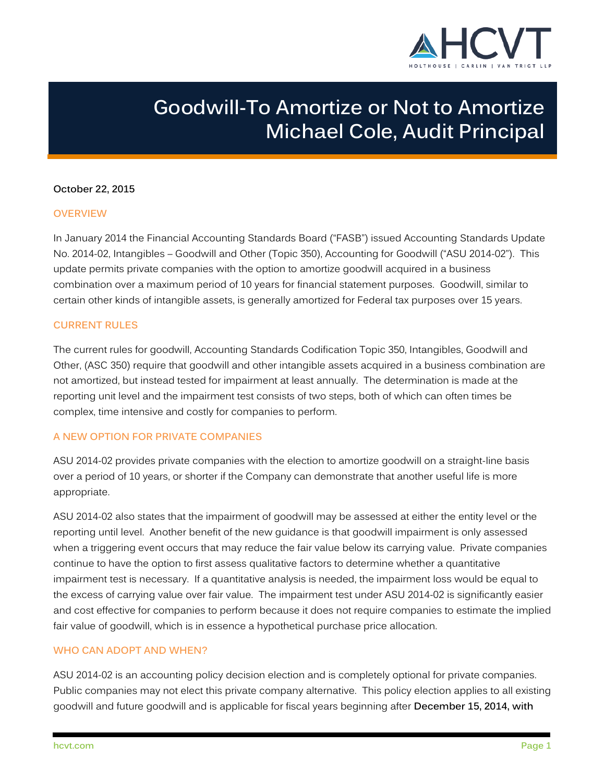

# **Goodwill-To Amortize or Not to Amortize Michael Cole, Audit Principal**

# **October 22, 2015**

#### **OVERVIEW**

In January 2014 the Financial Accounting Standards Board ("FASB") issued Accounting Standards Update No. 2014-02, Intangibles – Goodwill and Other (Topic 350), Accounting for Goodwill ("ASU 2014-02"). This update permits private companies with the option to amortize goodwill acquired in a business combination over a maximum period of 10 years for financial statement purposes. Goodwill, similar to certain other kinds of intangible assets, is generally amortized for Federal tax purposes over 15 years.

# **CURRENT RULES**

The current rules for goodwill, Accounting Standards Codification Topic 350, Intangibles, Goodwill and Other, (ASC 350) require that goodwill and other intangible assets acquired in a business combination are not amortized, but instead tested for impairment at least annually. The determination is made at the reporting unit level and the impairment test consists of two steps, both of which can often times be complex, time intensive and costly for companies to perform.

# **A NEW OPTION FOR PRIVATE COMPANIES**

ASU 2014-02 provides private companies with the election to amortize goodwill on a straight-line basis over a period of 10 years, or shorter if the Company can demonstrate that another useful life is more appropriate.

ASU 2014-02 also states that the impairment of goodwill may be assessed at either the entity level or the reporting until level. Another benefit of the new guidance is that goodwill impairment is only assessed when a triggering event occurs that may reduce the fair value below its carrying value. Private companies continue to have the option to first assess qualitative factors to determine whether a quantitative impairment test is necessary. If a quantitative analysis is needed, the impairment loss would be equal to the excess of carrying value over fair value. The impairment test under ASU 2014-02 is significantly easier and cost effective for companies to perform because it does not require companies to estimate the implied fair value of goodwill, which is in essence a hypothetical purchase price allocation.

#### **WHO CAN ADOPT AND WHEN?**

ASU 2014-02 is an accounting policy decision election and is completely optional for private companies. Public companies may not elect this private company alternative. This policy election applies to all existing goodwill and future goodwill and is applicable for fiscal years beginning after **December 15, 2014, with**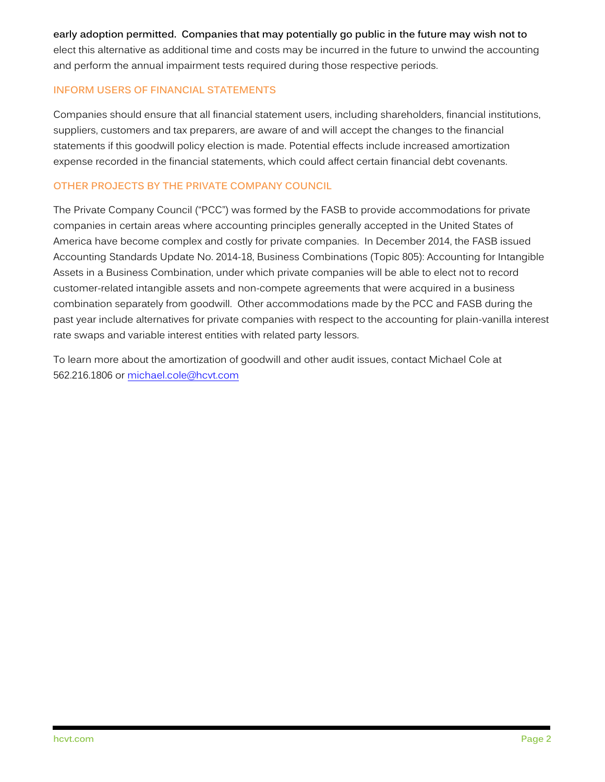**early adoption permitted. Companies that may potentially go public in the future may wish not to**  elect this alternative as additional time and costs may be incurred in the future to unwind the accounting and perform the annual impairment tests required during those respective periods.

# **INFORM USERS OF FINANCIAL STATEMENTS**

Companies should ensure that all financial statement users, including shareholders, financial institutions, suppliers, customers and tax preparers, are aware of and will accept the changes to the financial statements if this goodwill policy election is made. Potential effects include increased amortization expense recorded in the financial statements, which could affect certain financial debt covenants.

# **OTHER PROJECTS BY THE PRIVATE COMPANY COUNCIL**

The Private Company Council ("PCC") was formed by the FASB to provide accommodations for private companies in certain areas where accounting principles generally accepted in the United States of America have become complex and costly for private companies. In December 2014, the FASB issued Accounting Standards Update No. 2014-18, Business Combinations (Topic 805): Accounting for Intangible Assets in a Business Combination, under which private companies will be able to elect not to record customer-related intangible assets and non-compete agreements that were acquired in a business combination separately from goodwill. Other accommodations made by the PCC and FASB during the past year include alternatives for private companies with respect to the accounting for plain-vanilla interest rate swaps and variable interest entities with related party lessors.

To learn more about the amortization of goodwill and other audit issues, contact Michael Cole at 562.216.1806 or [michael.cole@hcvt.com](mailto:michael.cole@hcvt.com)